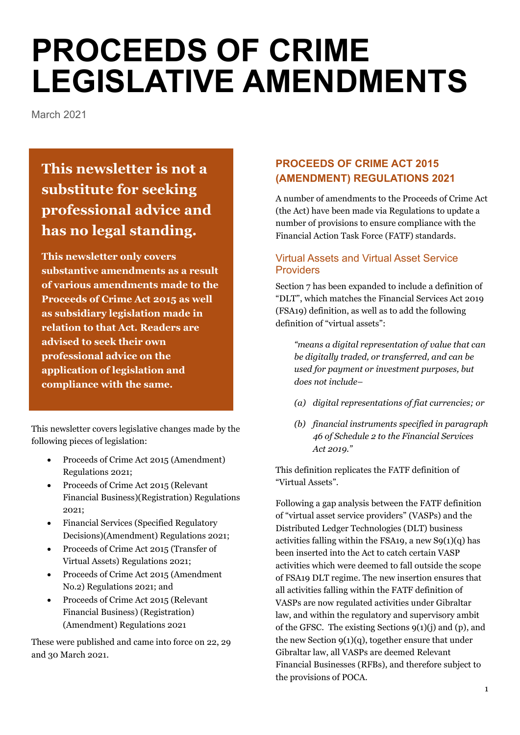# **PROCEEDS OF CRIME LEGISLATIVE AMENDMENTS**

March 2021

# **This newsletter is not a substitute for seeking professional advice and has no legal standing.**

**This newsletter only covers substantive amendments as a result of various amendments made to the Proceeds of Crime Act 2015 as well as subsidiary legislation made in relation to that Act. Readers are advised to seek their own professional advice on the application of legislation and compliance with the same.**

This newsletter covers legislative changes made by the following pieces of legislation:

- Proceeds of Crime Act 2015 (Amendment) Regulations 2021;
- Proceeds of Crime Act 2015 (Relevant Financial Business)(Registration) Regulations 2021;
- Financial Services (Specified Regulatory Decisions)(Amendment) Regulations 2021;
- Proceeds of Crime Act 2015 (Transfer of Virtual Assets) Regulations 2021;
- Proceeds of Crime Act 2015 (Amendment No.2) Regulations 2021; and
- Proceeds of Crime Act 2015 (Relevant Financial Business) (Registration) (Amendment) Regulations 2021

These were published and came into force on 22, 29 and 30 March 2021.

# **PROCEEDS OF CRIME ACT 2015 (AMENDMENT) REGULATIONS 2021**

A number of amendments to the Proceeds of Crime Act (the Act) have been made via Regulations to update a number of provisions to ensure compliance with the Financial Action Task Force (FATF) standards.

#### Virtual Assets and Virtual Asset Service **Providers**

Section 7 has been expanded to include a definition of "DLT", which matches the Financial Services Act 2019 (FSA19) definition, as well as to add the following definition of "virtual assets":

*"means a digital representation of value that can be digitally traded, or transferred, and can be used for payment or investment purposes, but does not include–*

- *(a) digital representations of fiat currencies; or*
- *(b) financial instruments specified in paragraph 46 of Schedule 2 to the Financial Services Act 2019."*

This definition replicates the FATF definition of "Virtual Assets".

Following a gap analysis between the FATF definition of "virtual asset service providers" (VASPs) and the Distributed Ledger Technologies (DLT) business activities falling within the FSA19, a new  $S9(1)(q)$  has been inserted into the Act to catch certain VASP activities which were deemed to fall outside the scope of FSA19 DLT regime. The new insertion ensures that all activities falling within the FATF definition of VASPs are now regulated activities under Gibraltar law, and within the regulatory and supervisory ambit of the GFSC. The existing Sections 9(1)(j) and (p), and the new Section 9(1)(q), together ensure that under Gibraltar law, all VASPs are deemed Relevant Financial Businesses (RFBs), and therefore subject to the provisions of POCA.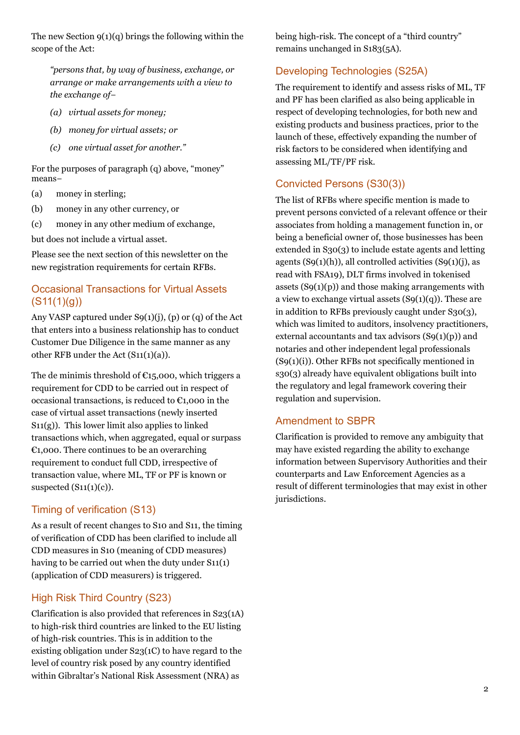The new Section  $9(1)(q)$  brings the following within the scope of the Act:

*"persons that, by way of business, exchange, or arrange or make arrangements with a view to the exchange of−*

- *(a) virtual assets for money;*
- *(b) money for virtual assets; or*
- *(c) one virtual asset for another."*

For the purposes of paragraph (q) above, "money" means−

- (a) money in sterling;
- (b) money in any other currency, or
- (c) money in any other medium of exchange,

but does not include a virtual asset.

Please see the next section of this newsletter on the new registration requirements for certain RFBs.

# Occasional Transactions for Virtual Assets  $(S11(1)(q))$

Any VASP captured under  $S9(1)(j)$ , (p) or (q) of the Act that enters into a business relationship has to conduct Customer Due Diligence in the same manner as any other RFB under the Act (S11(1)(a)).

The de minimis threshold of  $C15,000$ , which triggers a requirement for CDD to be carried out in respect of occasional transactions, is reduced to  $\epsilon_{1,000}$  in the case of virtual asset transactions (newly inserted  $S11(g)$ ). This lower limit also applies to linked transactions which, when aggregated, equal or surpass  $\epsilon_{1,000}$ . There continues to be an overarching requirement to conduct full CDD, irrespective of transaction value, where ML, TF or PF is known or suspected  $(S11(1)(c))$ .

# Timing of verification (S13)

As a result of recent changes to S10 and S11, the timing of verification of CDD has been clarified to include all CDD measures in S10 (meaning of CDD measures) having to be carried out when the duty under S11(1) (application of CDD measurers) is triggered.

# High Risk Third Country (S23)

Clarification is also provided that references in S23(1A) to high-risk third countries are linked to the EU listing of high-risk countries. This is in addition to the existing obligation under S23(1C) to have regard to the level of country risk posed by any country identified within Gibraltar's National Risk Assessment (NRA) as

being high-risk. The concept of a "third country" remains unchanged in S183(5A).

# Developing Technologies (S25A)

The requirement to identify and assess risks of ML, TF and PF has been clarified as also being applicable in respect of developing technologies, for both new and existing products and business practices, prior to the launch of these, effectively expanding the number of risk factors to be considered when identifying and assessing ML/TF/PF risk.

#### Convicted Persons (S30(3))

The list of RFBs where specific mention is made to prevent persons convicted of a relevant offence or their associates from holding a management function in, or being a beneficial owner of, those businesses has been extended in S30(3) to include estate agents and letting agents  $(S9(1)(h))$ , all controlled activities  $(S9(1)(i))$ , as read with FSA19), DLT firms involved in tokenised assets  $(S9(1)(p))$  and those making arrangements with a view to exchange virtual assets  $(S9(1)(q))$ . These are in addition to RFBs previously caught under S30(3), which was limited to auditors, insolvency practitioners, external accountants and tax advisors  $(S9(1)(p))$  and notaries and other independent legal professionals (S9(1)(i)). Other RFBs not specifically mentioned in s30(3) already have equivalent obligations built into the regulatory and legal framework covering their regulation and supervision.

#### Amendment to SBPR

Clarification is provided to remove any ambiguity that may have existed regarding the ability to exchange information between Supervisory Authorities and their counterparts and Law Enforcement Agencies as a result of different terminologies that may exist in other jurisdictions.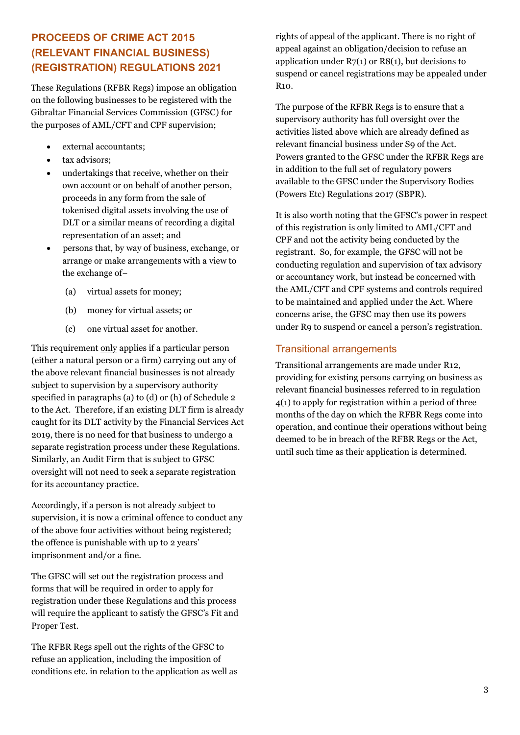# **PROCEEDS OF CRIME ACT 2015 (RELEVANT FINANCIAL BUSINESS) (REGISTRATION) REGULATIONS 2021**

These Regulations (RFBR Regs) impose an obligation on the following businesses to be registered with the Gibraltar Financial Services Commission (GFSC) for the purposes of AML/CFT and CPF supervision;

- external accountants;
- tax advisors;
- undertakings that receive, whether on their own account or on behalf of another person, proceeds in any form from the sale of tokenised digital assets involving the use of DLT or a similar means of recording a digital representation of an asset; and
- persons that, by way of business, exchange, or arrange or make arrangements with a view to the exchange of−
	- (a) virtual assets for money;
	- (b) money for virtual assets; or
	- (c) one virtual asset for another.

This requirement only applies if a particular person (either a natural person or a firm) carrying out any of the above relevant financial businesses is not already subject to supervision by a supervisory authority specified in paragraphs (a) to (d) or (h) of Schedule 2 to the Act. Therefore, if an existing DLT firm is already caught for its DLT activity by the Financial Services Act 2019, there is no need for that business to undergo a separate registration process under these Regulations. Similarly, an Audit Firm that is subject to GFSC oversight will not need to seek a separate registration for its accountancy practice.

Accordingly, if a person is not already subject to supervision, it is now a criminal offence to conduct any of the above four activities without being registered; the offence is punishable with up to 2 years' imprisonment and/or a fine.

The GFSC will set out the registration process and forms that will be required in order to apply for registration under these Regulations and this process will require the applicant to satisfy the GFSC's Fit and Proper Test.

The RFBR Regs spell out the rights of the GFSC to refuse an application, including the imposition of conditions etc. in relation to the application as well as rights of appeal of the applicant. There is no right of appeal against an obligation/decision to refuse an application under  $R7(1)$  or  $R8(1)$ , but decisions to suspend or cancel registrations may be appealed under R10.

The purpose of the RFBR Regs is to ensure that a supervisory authority has full oversight over the activities listed above which are already defined as relevant financial business under S9 of the Act. Powers granted to the GFSC under the RFBR Regs are in addition to the full set of regulatory powers available to the GFSC under the Supervisory Bodies (Powers Etc) Regulations 2017 (SBPR).

It is also worth noting that the GFSC's power in respect of this registration is only limited to AML/CFT and CPF and not the activity being conducted by the registrant. So, for example, the GFSC will not be conducting regulation and supervision of tax advisory or accountancy work, but instead be concerned with the AML/CFT and CPF systems and controls required to be maintained and applied under the Act. Where concerns arise, the GFSC may then use its powers under R9 to suspend or cancel a person's registration.

#### Transitional arrangements

Transitional arrangements are made under R12, providing for existing persons carrying on business as relevant financial businesses referred to in regulation 4(1) to apply for registration within a period of three months of the day on which the RFBR Regs come into operation, and continue their operations without being deemed to be in breach of the RFBR Regs or the Act, until such time as their application is determined.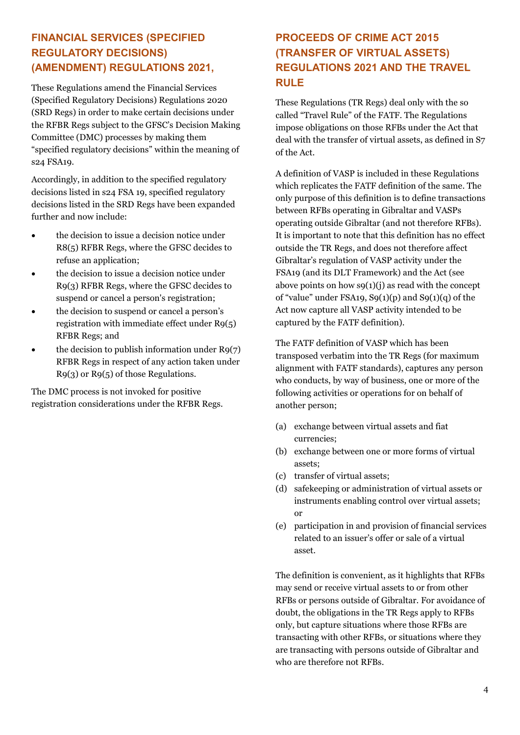# **FINANCIAL SERVICES (SPECIFIED REGULATORY DECISIONS) (AMENDMENT) REGULATIONS 2021,**

These Regulations amend the Financial Services (Specified Regulatory Decisions) Regulations 2020 (SRD Regs) in order to make certain decisions under the RFBR Regs subject to the GFSC's Decision Making Committee (DMC) processes by making them "specified regulatory decisions" within the meaning of s24 FSA19.

Accordingly, in addition to the specified regulatory decisions listed in s24 FSA 19, specified regulatory decisions listed in the SRD Regs have been expanded further and now include:

- the decision to issue a decision notice under R8(5) RFBR Regs, where the GFSC decides to refuse an application;
- the decision to issue a decision notice under R9(3) RFBR Regs, where the GFSC decides to suspend or cancel a person's registration;
- the decision to suspend or cancel a person's registration with immediate effect under  $R9(5)$ RFBR Regs; and
- the decision to publish information under  $R9(7)$ RFBR Regs in respect of any action taken under R9(3) or R9(5) of those Regulations.

The DMC process is not invoked for positive registration considerations under the RFBR Regs.

# **PROCEEDS OF CRIME ACT 2015 (TRANSFER OF VIRTUAL ASSETS) REGULATIONS 2021 AND THE TRAVEL RULE**

These Regulations (TR Regs) deal only with the so called "Travel Rule" of the FATF. The Regulations impose obligations on those RFBs under the Act that deal with the transfer of virtual assets, as defined in S7 of the Act.

A definition of VASP is included in these Regulations which replicates the FATF definition of the same. The only purpose of this definition is to define transactions between RFBs operating in Gibraltar and VASPs operating outside Gibraltar (and not therefore RFBs). It is important to note that this definition has no effect outside the TR Regs, and does not therefore affect Gibraltar's regulation of VASP activity under the FSA19 (and its DLT Framework) and the Act (see above points on how  $s(1)(j)$  as read with the concept of "value" under FSA19, S9(1)(p) and S9(1)(q) of the Act now capture all VASP activity intended to be captured by the FATF definition).

The FATF definition of VASP which has been transposed verbatim into the TR Regs (for maximum alignment with FATF standards), captures any person who conducts, by way of business, one or more of the following activities or operations for on behalf of another person;

- (a) exchange between virtual assets and fiat currencies;
- (b) exchange between one or more forms of virtual assets;
- (c) transfer of virtual assets;
- (d) safekeeping or administration of virtual assets or instruments enabling control over virtual assets; or
- (e) participation in and provision of financial services related to an issuer's offer or sale of a virtual asset.

The definition is convenient, as it highlights that RFBs may send or receive virtual assets to or from other RFBs or persons outside of Gibraltar. For avoidance of doubt, the obligations in the TR Regs apply to RFBs only, but capture situations where those RFBs are transacting with other RFBs, or situations where they are transacting with persons outside of Gibraltar and who are therefore not RFBs.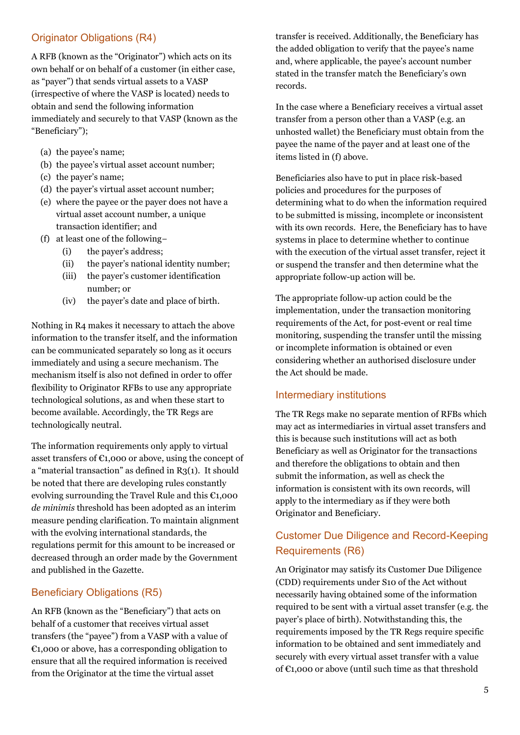# Originator Obligations (R4)

A RFB (known as the "Originator") which acts on its own behalf or on behalf of a customer (in either case, as "payer") that sends virtual assets to a VASP (irrespective of where the VASP is located) needs to obtain and send the following information immediately and securely to that VASP (known as the "Beneficiary");

- (a) the payee's name;
- (b) the payee's virtual asset account number;
- (c) the payer's name;
- (d) the payer's virtual asset account number;
- (e) where the payee or the payer does not have a virtual asset account number, a unique transaction identifier; and
- (f) at least one of the following−
	- (i) the payer's address;
	- (ii) the payer's national identity number;
	- (iii) the payer's customer identification number; or
	- (iv) the payer's date and place of birth.

Nothing in R4 makes it necessary to attach the above information to the transfer itself, and the information can be communicated separately so long as it occurs immediately and using a secure mechanism. The mechanism itself is also not defined in order to offer flexibility to Originator RFBs to use any appropriate technological solutions, as and when these start to become available. Accordingly, the TR Regs are technologically neutral.

The information requirements only apply to virtual asset transfers of  $\epsilon_{1,000}$  or above, using the concept of a "material transaction" as defined in  $R_3(1)$ . It should be noted that there are developing rules constantly evolving surrounding the Travel Rule and this  $\epsilon_{1,000}$ *de minimis* threshold has been adopted as an interim measure pending clarification. To maintain alignment with the evolving international standards, the regulations permit for this amount to be increased or decreased through an order made by the Government and published in the Gazette.

# Beneficiary Obligations (R5)

An RFB (known as the "Beneficiary") that acts on behalf of a customer that receives virtual asset transfers (the "payee") from a VASP with a value of  $\epsilon$ 1,000 or above, has a corresponding obligation to ensure that all the required information is received from the Originator at the time the virtual asset

transfer is received. Additionally, the Beneficiary has the added obligation to verify that the payee's name and, where applicable, the payee's account number stated in the transfer match the Beneficiary's own records.

In the case where a Beneficiary receives a virtual asset transfer from a person other than a VASP (e.g. an unhosted wallet) the Beneficiary must obtain from the payee the name of the payer and at least one of the items listed in (f) above.

Beneficiaries also have to put in place risk-based policies and procedures for the purposes of determining what to do when the information required to be submitted is missing, incomplete or inconsistent with its own records. Here, the Beneficiary has to have systems in place to determine whether to continue with the execution of the virtual asset transfer, reject it or suspend the transfer and then determine what the appropriate follow-up action will be.

The appropriate follow-up action could be the implementation, under the transaction monitoring requirements of the Act, for post-event or real time monitoring, suspending the transfer until the missing or incomplete information is obtained or even considering whether an authorised disclosure under the Act should be made.

#### Intermediary institutions

The TR Regs make no separate mention of RFBs which may act as intermediaries in virtual asset transfers and this is because such institutions will act as both Beneficiary as well as Originator for the transactions and therefore the obligations to obtain and then submit the information, as well as check the information is consistent with its own records, will apply to the intermediary as if they were both Originator and Beneficiary.

# Customer Due Diligence and Record-Keeping Requirements (R6)

An Originator may satisfy its Customer Due Diligence (CDD) requirements under S10 of the Act without necessarily having obtained some of the information required to be sent with a virtual asset transfer (e.g. the payer's place of birth). Notwithstanding this, the requirements imposed by the TR Regs require specific information to be obtained and sent immediately and securely with every virtual asset transfer with a value of €1,000 or above (until such time as that threshold